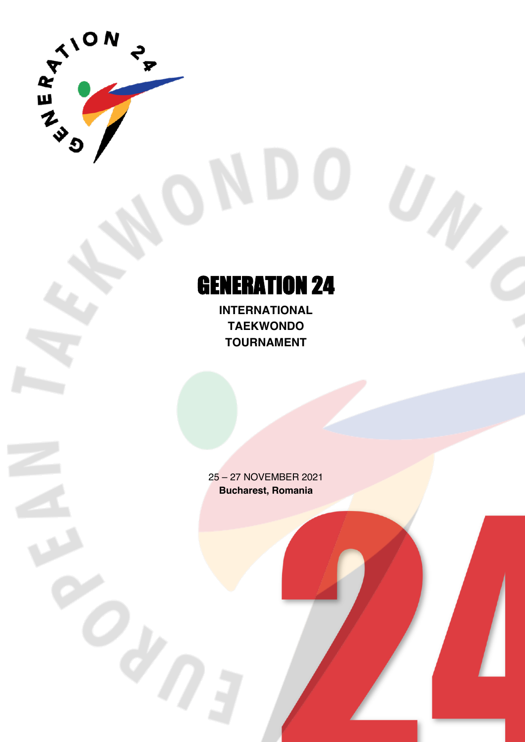

# GENERATION 24

**INTERNATIONAL TAEKWONDO TOURNAMENT**

25 – 27 NOVEMBER 2021 **Bucharest, Romania**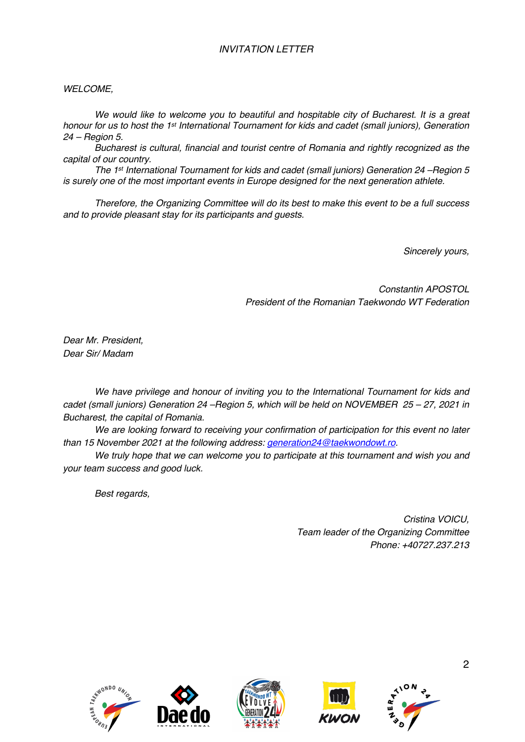## *INVITATION LETTER*

#### *WELCOME,*

*We would like to welcome you to beautiful and hospitable city of Bucharest. It is a great honour for us to host the 1st International Tournament for kids and cadet (small juniors), Generation 24 – Region 5.*

*Bucharest is cultural, financial and tourist centre of Romania and rightly recognized as the capital of our country.* 

*The 1st International Tournament for kids and cadet (small juniors) Generation 24 –Region 5 is surely one of the most important events in Europe designed for the next generation athlete.* 

*Therefore, the Organizing Committee will do its best to make this event to be a full success and to provide pleasant stay for its participants and guests.* 

*Sincerely yours,*

*Constantin APOSTOL President of the Romanian Taekwondo WT Federation*

*Dear Mr. President, Dear Sir/ Madam*

*We have privilege and honour of inviting you to the International Tournament for kids and cadet (small juniors) Generation 24 –Region 5, which will be held on NOVEMBER 25 – 27, 2021 in Bucharest, the capital of Romania.*

*We are looking forward to receiving your confirmation of participation for this event no later than 15 November 2021 at the following address: generation24@taekwondowt.ro.*

*We truly hope that we can welcome you to participate at this tournament and wish you and your team success and good luck.*

*Best regards,*

*Cristina VOICU, Team leader of the Organizing Committee Phone: +40727.237.213*









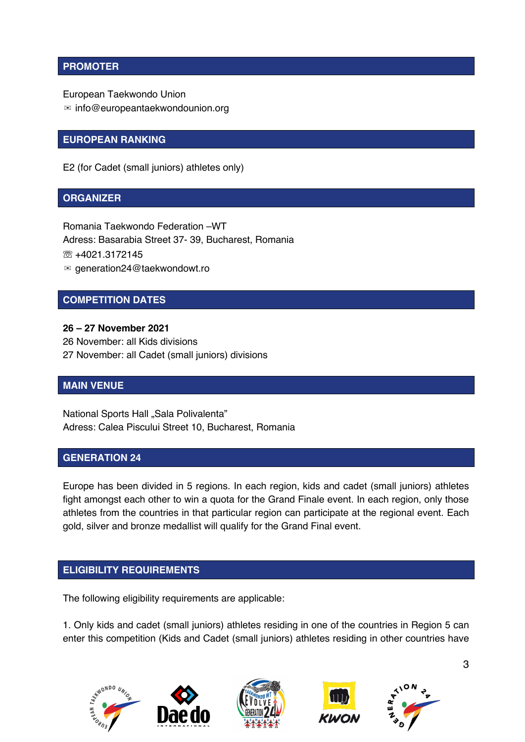### **PROMOTER**

European Taekwondo Union

✉ info@europeantaekwondounion.org

#### **EUROPEAN RANKING**

E2 (for Cadet (small juniors) athletes only)

#### **ORGANIZER**

Romania Taekwondo Federation –WT Adress: Basarabia Street 37- 39, Bucharest, Romania ☏ +4021.3172145 ✉ generation24@taekwondowt.ro

#### **COMPETITION DATES**

**26 – 27 November 2021** 26 November: all Kids divisions 27 November: all Cadet (small juniors) divisions

#### **MAIN VENUE**

National Sports Hall "Sala Polivalenta" Adress: Calea Piscului Street 10, Bucharest, Romania

#### **GENERATION 24**

Europe has been divided in 5 regions. In each region, kids and cadet (small juniors) athletes fight amongst each other to win a quota for the Grand Finale event. In each region, only those athletes from the countries in that particular region can participate at the regional event. Each gold, silver and bronze medallist will qualify for the Grand Final event.

#### **ELIGIBILITY REQUIREMENTS**

The following eligibility requirements are applicable:

1. Only kids and cadet (small juniors) athletes residing in one of the countries in Region 5 can enter this competition (Kids and Cadet (small juniors) athletes residing in other countries have

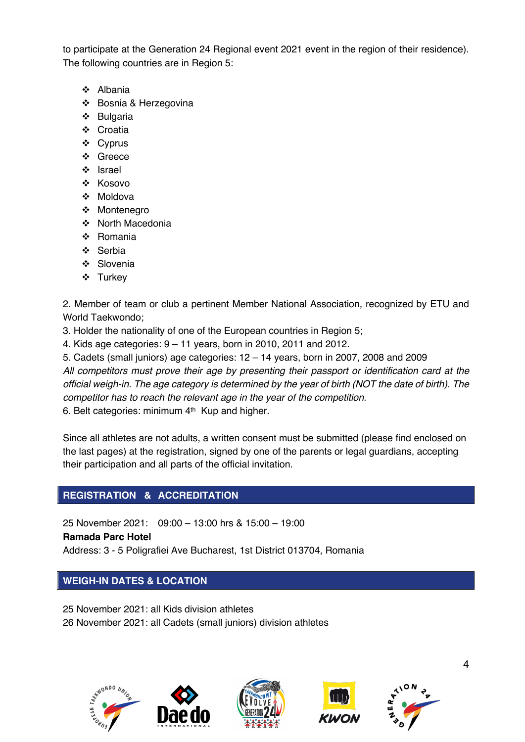to participate at the Generation 24 Regional event 2021 event in the region of their residence). The following countries are in Region 5:

- v Albania
- v Bosnia & Herzegovina
- $\div$  Bulgaria
- ❖ Croatia
- ❖ Cyprus
- v Greece
- v Israel
- v Kosovo
- v Moldova
- ❖ Montenegro
- ❖ North Macedonia
- v Romania
- v Serbia
- ❖ Slovenia
- v Turkey

2. Member of team or club a pertinent Member National Association, recognized by ETU and World Taekwondo;

3. Holder the nationality of one of the European countries in Region 5;

4. Kids age categories: 9 – 11 years, born in 2010, 2011 and 2012.

5. Cadets (small juniors) age categories: 12 – 14 years, born in 2007, 2008 and 2009 *All competitors must prove their age by presenting their passport or identification card at the official weigh-in. The age category is determined by the year of birth (NOT the date of birth). The competitor has to reach the relevant age in the year of the competition.* 6. Belt categories: minimum 4<sup>th</sup> Kup and higher.

Since all athletes are not adults, a written consent must be submitted (please find enclosed on the last pages) at the registration, signed by one of the parents or legal guardians, accepting their participation and all parts of the official invitation.

## **REGISTRATION & ACCREDITATION**

25 November 2021: 09:00 – 13:00 hrs & 15:00 – 19:00

**Ramada Parc Hotel**

Address: 3 - 5 Poligrafiei Ave Bucharest, 1st District 013704, Romania

## **WEIGH-IN DATES & LOCATION**

25 November 2021: all Kids division athletes 26 November 2021: all Cadets (small juniors) division athletes







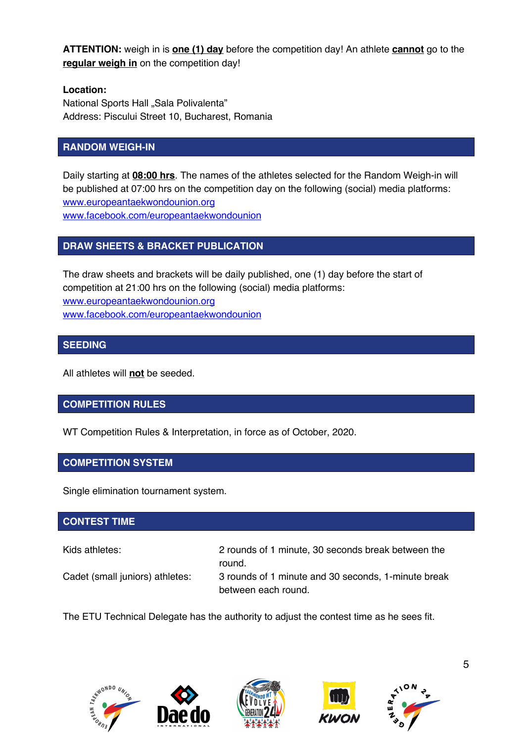**ATTENTION:** weigh in is **one (1) day** before the competition day! An athlete **cannot** go to the **regular weigh in** on the competition day!

## **Location:**

National Sports Hall "Sala Polivalenta" Address: Piscului Street 10, Bucharest, Romania

## **RANDOM WEIGH-IN**

Daily starting at **08:00 hrs**. The names of the athletes selected for the Random Weigh-in will be published at 07:00 hrs on the competition day on the following (social) media platforms: www.europeantaekwondounion.org www.facebook.com/europeantaekwondounion

## **DRAW SHEETS & BRACKET PUBLICATION**

The draw sheets and brackets will be daily published, one (1) day before the start of competition at 21:00 hrs on the following (social) media platforms: www.europeantaekwondounion.org www.facebook.com/europeantaekwondounion

## **SEEDING**

All athletes will **not** be seeded.

## **COMPETITION RULES**

WT Competition Rules & Interpretation, in force as of October, 2020.

## **COMPETITION SYSTEM**

Single elimination tournament system.

## **CONTEST TIME**

Kids athletes: 2 rounds of 1 minute, 30 seconds break between the round.

Cadet (small juniors) athletes: 3 rounds of 1 minute and 30 seconds, 1-minute break between each round.

The ETU Technical Delegate has the authority to adjust the contest time as he sees fit.









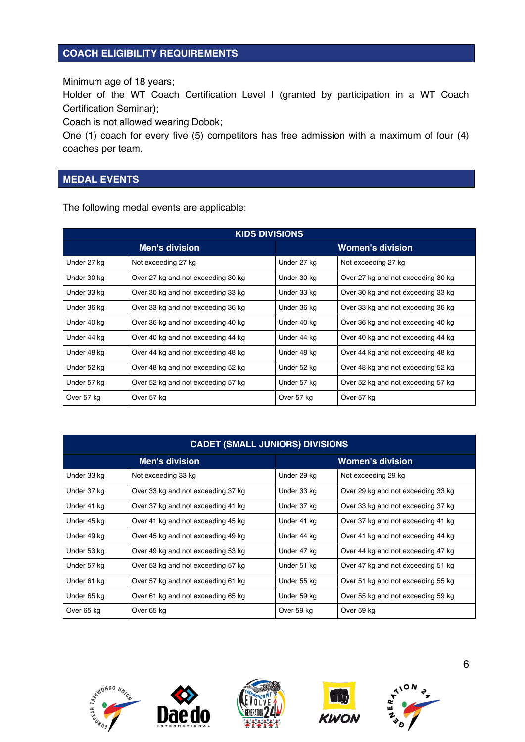#### **COACH ELIGIBILITY REQUIREMENTS**

Minimum age of 18 years;

Holder of the WT Coach Certification Level I (granted by participation in a WT Coach Certification Seminar);

Coach is not allowed wearing Dobok;

One (1) coach for every five (5) competitors has free admission with a maximum of four (4) coaches per team.

#### **MEDAL EVENTS**

The following medal events are applicable:

| <b>KIDS DIVISIONS</b> |                                    |                         |                                    |  |  |  |
|-----------------------|------------------------------------|-------------------------|------------------------------------|--|--|--|
|                       | <b>Men's division</b>              | <b>Women's division</b> |                                    |  |  |  |
| Under 27 kg           | Not exceeding 27 kg                | Under 27 kg             | Not exceeding 27 kg                |  |  |  |
| Under 30 kg           | Over 27 kg and not exceeding 30 kg | Under 30 kg             | Over 27 kg and not exceeding 30 kg |  |  |  |
| Under 33 kg           | Over 30 kg and not exceeding 33 kg | Under 33 kg             | Over 30 kg and not exceeding 33 kg |  |  |  |
| Under 36 kg           | Over 33 kg and not exceeding 36 kg | Under 36 kg             | Over 33 kg and not exceeding 36 kg |  |  |  |
| Under 40 kg           | Over 36 kg and not exceeding 40 kg | Under 40 kg             | Over 36 kg and not exceeding 40 kg |  |  |  |
| Under 44 kg           | Over 40 kg and not exceeding 44 kg | Under 44 kg             | Over 40 kg and not exceeding 44 kg |  |  |  |
| Under 48 kg           | Over 44 kg and not exceeding 48 kg | Under 48 kg             | Over 44 kg and not exceeding 48 kg |  |  |  |
| Under 52 kg           | Over 48 kg and not exceeding 52 kg | Under 52 kg             | Over 48 kg and not exceeding 52 kg |  |  |  |
| Under 57 kg           | Over 52 kg and not exceeding 57 kg | Under 57 kg             | Over 52 kg and not exceeding 57 kg |  |  |  |
| Over 57 kg            | Over 57 kg                         | Over 57 kg              | Over 57 kg                         |  |  |  |

| <b>CADET (SMALL JUNIORS) DIVISIONS</b> |                                    |                         |                                    |  |  |  |
|----------------------------------------|------------------------------------|-------------------------|------------------------------------|--|--|--|
|                                        | <b>Men's division</b>              | <b>Women's division</b> |                                    |  |  |  |
| Under 33 kg                            | Not exceeding 33 kg                | Under 29 kg             | Not exceeding 29 kg                |  |  |  |
| Under 37 kg                            | Over 33 kg and not exceeding 37 kg | Under 33 kg             | Over 29 kg and not exceeding 33 kg |  |  |  |
| Under 41 kg                            | Over 37 kg and not exceeding 41 kg | Under 37 kg             | Over 33 kg and not exceeding 37 kg |  |  |  |
| Under 45 kg                            | Over 41 kg and not exceeding 45 kg | Under 41 kg             | Over 37 kg and not exceeding 41 kg |  |  |  |
| Under 49 kg                            | Over 45 kg and not exceeding 49 kg | Under 44 kg             | Over 41 kg and not exceeding 44 kg |  |  |  |
| Under 53 kg                            | Over 49 kg and not exceeding 53 kg | Under 47 kg             | Over 44 kg and not exceeding 47 kg |  |  |  |
| Under 57 kg                            | Over 53 kg and not exceeding 57 kg | Under 51 kg             | Over 47 kg and not exceeding 51 kg |  |  |  |
| Under 61 kg                            | Over 57 kg and not exceeding 61 kg | Under 55 kg             | Over 51 kg and not exceeding 55 kg |  |  |  |
| Under 65 kg                            | Over 61 kg and not exceeding 65 kg | Under 59 kg             | Over 55 kg and not exceeding 59 kg |  |  |  |
| Over 65 kg                             | Over 65 kg                         | Over 59 kg              | Over 59 kg                         |  |  |  |









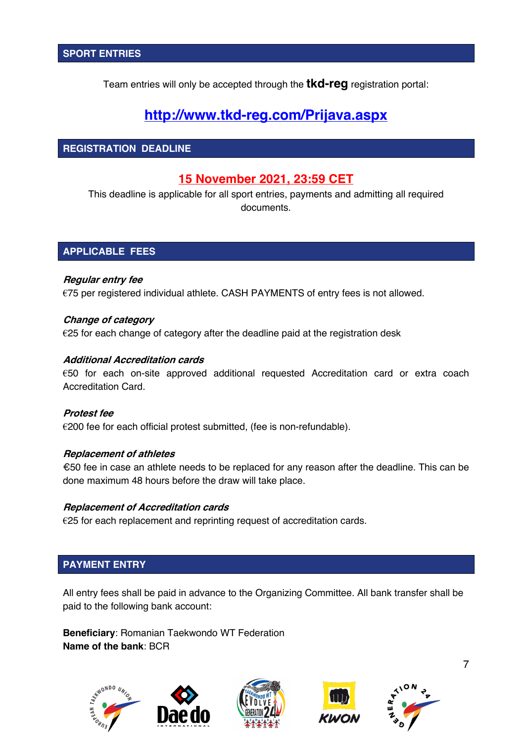Team entries will only be accepted through the **tkd-reg** registration portal:

## **http://www.tkd-reg.com/Prijava.aspx**

#### **REGISTRATION DEADLINE**

## **15 November 2021, 23:59 CET**

This deadline is applicable for all sport entries, payments and admitting all required documents.

#### **APPLICABLE FEES**

#### **Regular entry fee**

€75 per registered individual athlete. CASH PAYMENTS of entry fees is not allowed.

#### **Change of category**

 $E$ 25 for each change of category after the deadline paid at the registration desk

#### **Additional Accreditation cards**

€50 for each on-site approved additional requested Accreditation card or extra coach Accreditation Card.

#### **Protest fee**

€200 fee for each official protest submitted, (fee is non-refundable).

#### **Replacement of athletes**

€50 fee in case an athlete needs to be replaced for any reason after the deadline. This can be done maximum 48 hours before the draw will take place.

#### **Replacement of Accreditation cards**

€25 for each replacement and reprinting request of accreditation cards.

#### **PAYMENT ENTRY**

All entry fees shall be paid in advance to the Organizing Committee. All bank transfer shall be paid to the following bank account:

**Beneficiary**: Romanian Taekwondo WT Federation **Name of the bank**: BCR







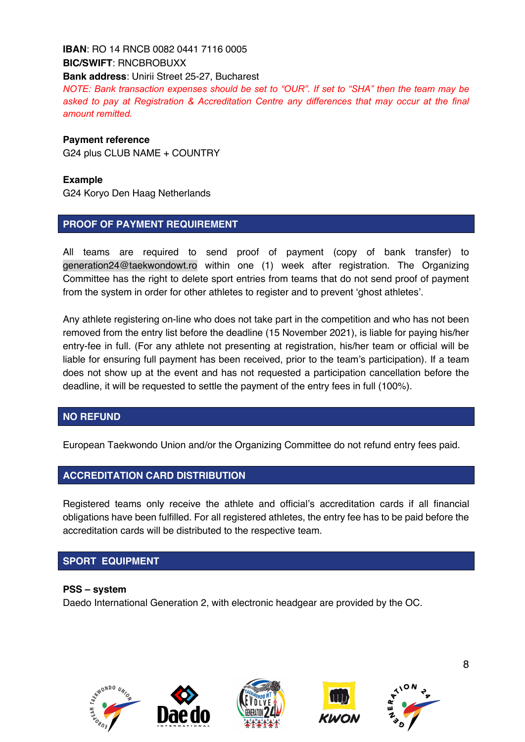## **IBAN**: RO 14 RNCB 0082 0441 7116 0005 **BIC/SWIFT**: RNCBROBUXX

**Bank address**: Unirii Street 25-27, Bucharest

*NOTE: Bank transaction expenses should be set to "OUR". If set to "SHA" then the team may be asked to pay at Registration & Accreditation Centre any differences that may occur at the final amount remitted.* 

#### **Payment reference**

G24 plus CLUB NAME + COUNTRY

#### **Example**

G24 Koryo Den Haag Netherlands

#### **PROOF OF PAYMENT REQUIREMENT**

All teams are required to send proof of payment (copy of bank transfer) to generation24@taekwondowt.ro within one (1) week after registration. The Organizing Committee has the right to delete sport entries from teams that do not send proof of payment from the system in order for other athletes to register and to prevent 'ghost athletes'.

Any athlete registering on-line who does not take part in the competition and who has not been removed from the entry list before the deadline (15 November 2021), is liable for paying his/her entry-fee in full. (For any athlete not presenting at registration, his/her team or official will be liable for ensuring full payment has been received, prior to the team's participation). If a team does not show up at the event and has not requested a participation cancellation before the deadline, it will be requested to settle the payment of the entry fees in full (100%).

#### **NO REFUND**

European Taekwondo Union and/or the Organizing Committee do not refund entry fees paid.

## **ACCREDITATION CARD DISTRIBUTION**

Registered teams only receive the athlete and official's accreditation cards if all financial obligations have been fulfilled. For all registered athletes, the entry fee has to be paid before the accreditation cards will be distributed to the respective team.

## **SPORT EQUIPMENT**

#### **PSS – system**

Daedo International Generation 2, with electronic headgear are provided by the OC.

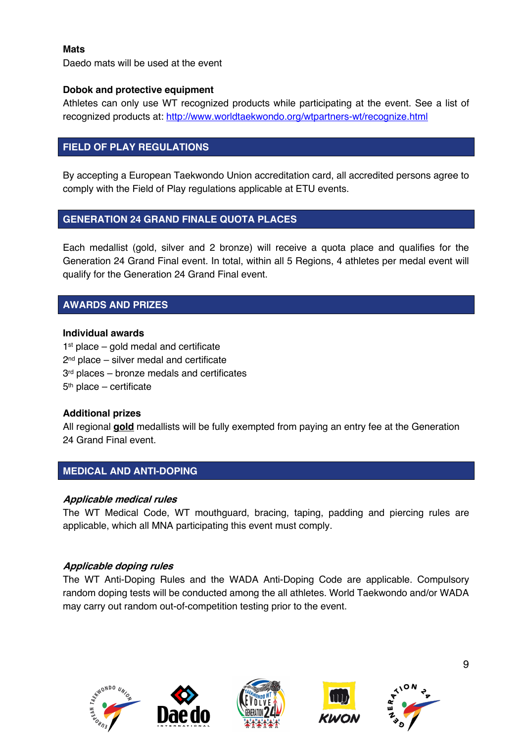#### **Mats**

Daedo mats will be used at the event

#### **Dobok and protective equipment**

Athletes can only use WT recognized products while participating at the event. See a list of recognized products at: http://www.worldtaekwondo.org/wtpartners-wt/recognize.html

## **FIELD OF PLAY REGULATIONS**

By accepting a European Taekwondo Union accreditation card, all accredited persons agree to comply with the Field of Play regulations applicable at ETU events.

## **GENERATION 24 GRAND FINALE QUOTA PLACES**

Each medallist (gold, silver and 2 bronze) will receive a quota place and qualifies for the Generation 24 Grand Final event. In total, within all 5 Regions, 4 athletes per medal event will qualify for the Generation 24 Grand Final event.

## **AWARDS AND PRIZES**

#### **Individual awards**

 $1<sup>st</sup>$  place – gold medal and certificate 2<sup>nd</sup> place – silver medal and certificate 3<sup>rd</sup> places – bronze medals and certificates 5th place – certificate

#### **Additional prizes**

All regional **gold** medallists will be fully exempted from paying an entry fee at the Generation 24 Grand Final event.

## **MEDICAL AND ANTI-DOPING**

#### **Applicable medical rules**

The WT Medical Code, WT mouthguard, bracing, taping, padding and piercing rules are applicable, which all MNA participating this event must comply.

#### **Applicable doping rules**

The WT Anti-Doping Rules and the WADA Anti-Doping Code are applicable. Compulsory random doping tests will be conducted among the all athletes. World Taekwondo and/or WADA may carry out random out-of-competition testing prior to the event.









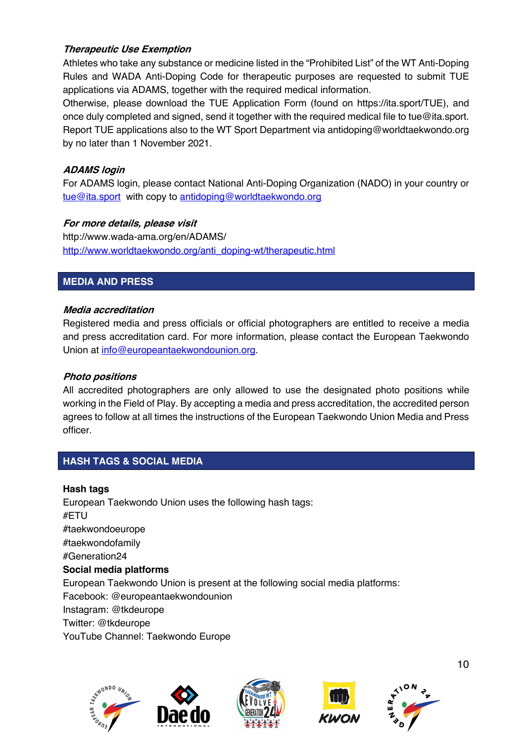#### **Therapeutic Use Exemption**

Athletes who take any substance or medicine listed in the "Prohibited List" of the WT Anti-Doping Rules and WADA Anti-Doping Code for therapeutic purposes are requested to submit TUE applications via ADAMS, together with the required medical information.

Otherwise, please download the TUE Application Form (found on https://ita.sport/TUE), and once duly completed and signed, send it together with the required medical file to tue@ita.sport. Report TUE applications also to the WT Sport Department via antidoping@worldtaekwondo.org by no later than 1 November 2021.

### **ADAMS login**

For ADAMS login, please contact National Anti-Doping Organization (NADO) in your country or tue@ita.sport with copy to antidoping@worldtaekwondo.org

#### **For more details, please visit**

http://www.wada-ama.org/en/ADAMS/ http://www.worldtaekwondo.org/anti\_doping-wt/therapeutic.html

#### **MEDIA AND PRESS**

#### **Media accreditation**

Registered media and press officials or official photographers are entitled to receive a media and press accreditation card. For more information, please contact the European Taekwondo Union at info@europeantaekwondounion.org.

#### **Photo positions**

All accredited photographers are only allowed to use the designated photo positions while working in the Field of Play. By accepting a media and press accreditation, the accredited person agrees to follow at all times the instructions of the European Taekwondo Union Media and Press officer.

## **HASH TAGS & SOCIAL MEDIA**

**Hash tags** European Taekwondo Union uses the following hash tags: #ETU #taekwondoeurope #taekwondofamily #Generation24 **Social media platforms** European Taekwondo Union is present at the following social media platforms: Facebook: @europeantaekwondounion Instagram: @tkdeurope Twitter: @tkdeurope YouTube Channel: Taekwondo Europe







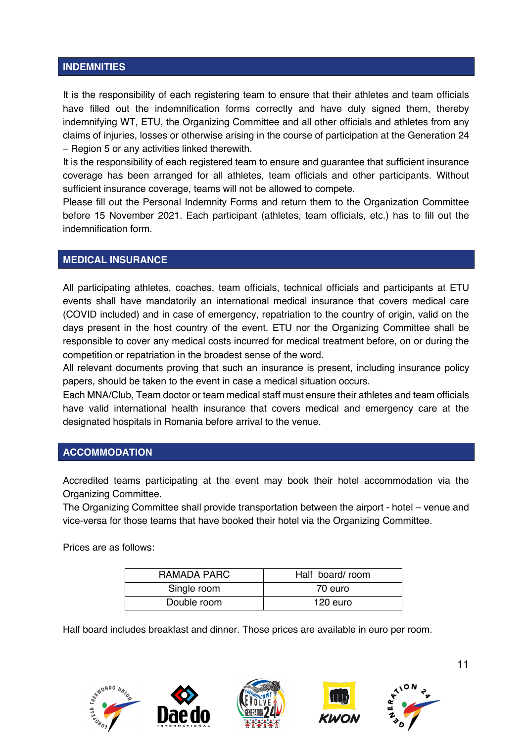#### **INDEMNITIES**

It is the responsibility of each registering team to ensure that their athletes and team officials have filled out the indemnification forms correctly and have duly signed them, thereby indemnifying WT, ETU, the Organizing Committee and all other officials and athletes from any claims of injuries, losses or otherwise arising in the course of participation at the Generation 24 – Region 5 or any activities linked therewith.

It is the responsibility of each registered team to ensure and guarantee that sufficient insurance coverage has been arranged for all athletes, team officials and other participants. Without sufficient insurance coverage, teams will not be allowed to compete.

Please fill out the Personal Indemnity Forms and return them to the Organization Committee before 15 November 2021. Each participant (athletes, team officials, etc.) has to fill out the indemnification form.

#### **MEDICAL INSURANCE**

All participating athletes, coaches, team officials, technical officials and participants at ETU events shall have mandatorily an international medical insurance that covers medical care (COVID included) and in case of emergency, repatriation to the country of origin, valid on the days present in the host country of the event. ETU nor the Organizing Committee shall be responsible to cover any medical costs incurred for medical treatment before, on or during the competition or repatriation in the broadest sense of the word.

All relevant documents proving that such an insurance is present, including insurance policy papers, should be taken to the event in case a medical situation occurs.

Each MNA/Club, Team doctor or team medical staff must ensure their athletes and team officials have valid international health insurance that covers medical and emergency care at the designated hospitals in Romania before arrival to the venue.

#### **ACCOMMODATION**

Accredited teams participating at the event may book their hotel accommodation via the Organizing Committee.

The Organizing Committee shall provide transportation between the airport - hotel – venue and vice-versa for those teams that have booked their hotel via the Organizing Committee.

Prices are as follows:

| RAMADA PARC | Half board/room |  |  |
|-------------|-----------------|--|--|
| Single room | 70 euro         |  |  |
| Double room | 120 euro        |  |  |

Half board includes breakfast and dinner. Those prices are available in euro per room.

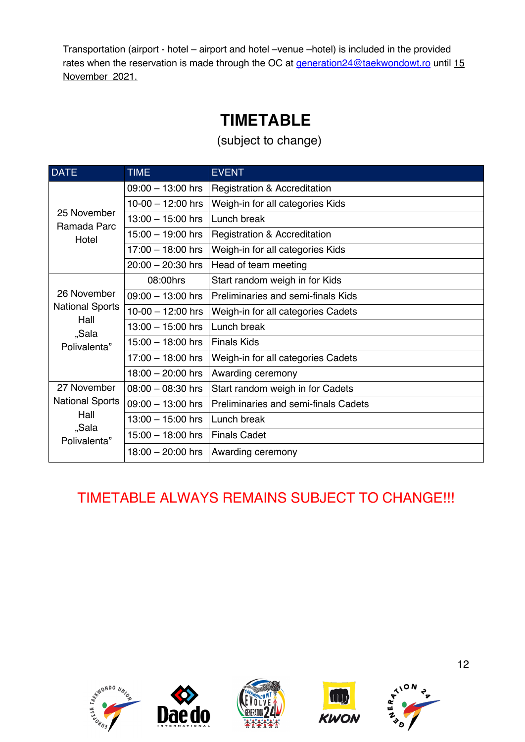Transportation (airport - hotel – airport and hotel –venue –hotel) is included in the provided rates when the reservation is made through the OC at generation24@taekwondowt.ro until 15 November 2021.

## **TIMETABLE**

(subject to change)

| <b>DATE</b>                | <b>TIME</b>                                             | <b>EVENT</b>                                |  |  |  |
|----------------------------|---------------------------------------------------------|---------------------------------------------|--|--|--|
|                            | $09:00 - 13:00$ hrs                                     | <b>Registration &amp; Accreditation</b>     |  |  |  |
|                            | $10-00 - 12:00$ hrs                                     | Weigh-in for all categories Kids            |  |  |  |
| 25 November<br>Ramada Parc | $13:00 - 15:00$ hrs                                     | Lunch break                                 |  |  |  |
| Hotel                      | $15:00 - 19:00$ hrs                                     | Registration & Accreditation                |  |  |  |
|                            | $17:00 - 18:00$ hrs<br>Weigh-in for all categories Kids |                                             |  |  |  |
|                            | $20:00 - 20:30$ hrs                                     | Head of team meeting                        |  |  |  |
|                            | 08:00hrs                                                | Start random weigh in for Kids              |  |  |  |
| 26 November                | $09:00 - 13:00$ hrs                                     | Preliminaries and semi-finals Kids          |  |  |  |
| <b>National Sports</b>     | $10-00 - 12:00$ hrs                                     | Weigh-in for all categories Cadets          |  |  |  |
| Hall<br>"Sala              | $13:00 - 15:00$ hrs                                     | Lunch break                                 |  |  |  |
| Polivalenta"               | $15:00 - 18:00$ hrs                                     | <b>Finals Kids</b>                          |  |  |  |
|                            | $17:00 - 18:00$ hrs                                     | Weigh-in for all categories Cadets          |  |  |  |
|                            | $18:00 - 20:00$ hrs                                     | Awarding ceremony                           |  |  |  |
| 27 November                | $08:00 - 08:30$ hrs                                     | Start random weigh in for Cadets            |  |  |  |
| <b>National Sports</b>     | $09:00 - 13:00$ hrs                                     | <b>Preliminaries and semi-finals Cadets</b> |  |  |  |
| Hall                       | $13:00 - 15:00$ hrs                                     | Lunch break                                 |  |  |  |
| "Sala<br>Polivalenta"      | $15:00 - 18:00$ hrs                                     | <b>Finals Cadet</b>                         |  |  |  |
|                            | $18:00 - 20:00$ hrs                                     | Awarding ceremony                           |  |  |  |

## TIMETABLE ALWAYS REMAINS SUBJECT TO CHANGE!!!









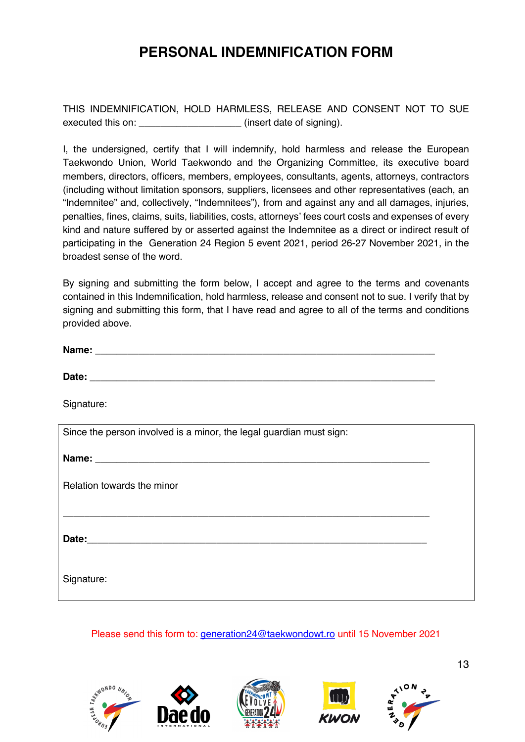## **PERSONAL INDEMNIFICATION FORM**

THIS INDEMNIFICATION, HOLD HARMLESS, RELEASE AND CONSENT NOT TO SUE executed this on:  $(insert date of signing)$ .

I, the undersigned, certify that I will indemnify, hold harmless and release the European Taekwondo Union, World Taekwondo and the Organizing Committee, its executive board members, directors, officers, members, employees, consultants, agents, attorneys, contractors (including without limitation sponsors, suppliers, licensees and other representatives (each, an "Indemnitee" and, collectively, "Indemnitees"), from and against any and all damages, injuries, penalties, fines, claims, suits, liabilities, costs, attorneys' fees court costs and expenses of every kind and nature suffered by or asserted against the Indemnitee as a direct or indirect result of participating in the Generation 24 Region 5 event 2021, period 26-27 November 2021, in the broadest sense of the word.

By signing and submitting the form below, I accept and agree to the terms and covenants contained in this Indemnification, hold harmless, release and consent not to sue. I verify that by signing and submitting this form, that I have read and agree to all of the terms and conditions provided above.

**Name:**  $\blacksquare$ 

**Date:** \_\_\_\_\_\_\_\_\_\_\_\_\_\_\_\_\_\_\_\_\_\_\_\_\_\_\_\_\_\_\_\_\_\_\_\_\_\_\_\_\_\_\_\_\_\_\_\_\_\_\_\_\_\_\_\_\_\_\_\_\_\_\_\_

Signature:

| Since the person involved is a minor, the legal guardian must sign: |  |  |  |  |
|---------------------------------------------------------------------|--|--|--|--|
|                                                                     |  |  |  |  |
| Relation towards the minor                                          |  |  |  |  |
|                                                                     |  |  |  |  |
| Date:<br><u> 1980 - John Stone, Amerikaansk politiker (</u> † 1920) |  |  |  |  |
| Signature:                                                          |  |  |  |  |

Please send this form to: generation24@taekwondowt.ro until 15 November 2021







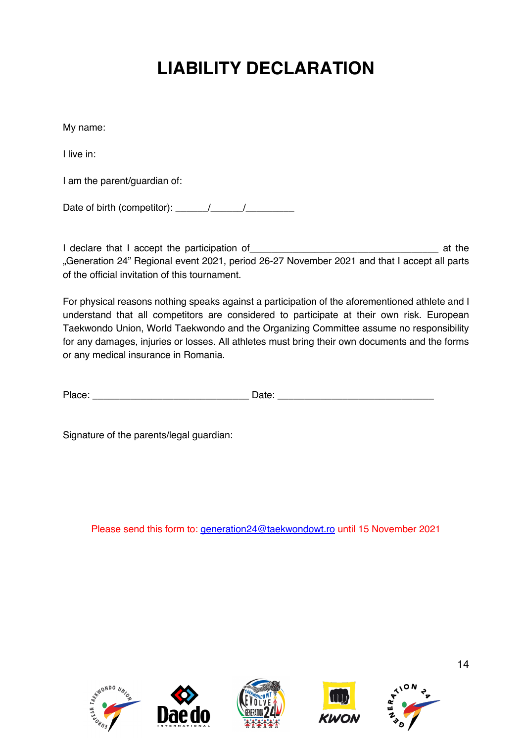## **LIABILITY DECLARATION**

My name:

I live in:

I am the parent/guardian of:

Date of birth (competitor):  $\frac{1}{\sqrt{2\pi}}$ 

I declare that I accept the participation of and a set of the state of the state of the state of the state of the state of the state of the state of the state of the state of the state of the state of the state of the stat "Generation 24" Regional event 2021, period 26-27 November 2021 and that I accept all parts of the official invitation of this tournament.

For physical reasons nothing speaks against a participation of the aforementioned athlete and I understand that all competitors are considered to participate at their own risk. European Taekwondo Union, World Taekwondo and the Organizing Committee assume no responsibility for any damages, injuries or losses. All athletes must bring their own documents and the forms or any medical insurance in Romania.

| DL. | -   |
|-----|-----|
| – ∷ | --- |
|     |     |

Signature of the parents/legal guardian:

Please send this form to: generation24@taekwondowt.ro until 15 November 2021









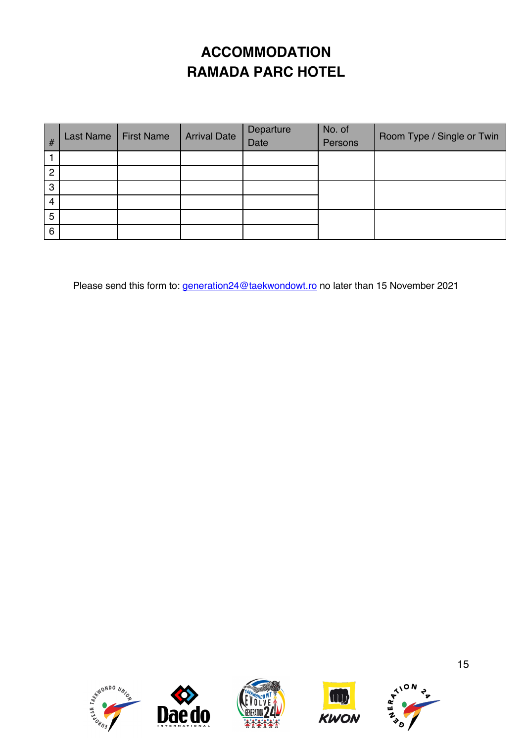## **ACCOMMODATION RAMADA PARC HOTEL**

| #              | Last Name | <b>First Name</b> | <b>Arrival Date</b> | Departure<br>Date | No. of<br>Persons | Room Type / Single or Twin |
|----------------|-----------|-------------------|---------------------|-------------------|-------------------|----------------------------|
|                |           |                   |                     |                   |                   |                            |
| $\overline{2}$ |           |                   |                     |                   |                   |                            |
| 3              |           |                   |                     |                   |                   |                            |
| 4              |           |                   |                     |                   |                   |                            |
| 5              |           |                   |                     |                   |                   |                            |
| 6              |           |                   |                     |                   |                   |                            |

Please send this form to: *generation24@taekwondowt.ro* no later than 15 November 2021